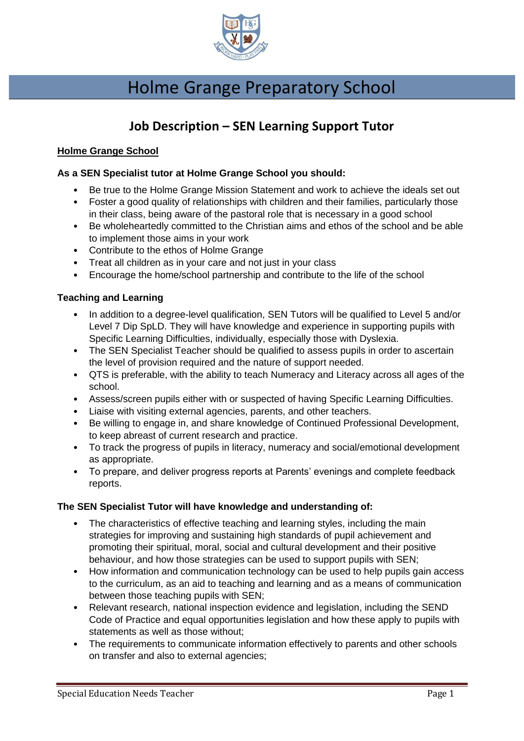

# Holme Grange Preparatory School

## **Job Description – SEN Learning Support Tutor**

#### **Holme Grange School**

#### **As a SEN Specialist tutor at Holme Grange School you should:**

- Be true to the Holme Grange Mission Statement and work to achieve the ideals set out
- Foster a good quality of relationships with children and their families, particularly those in their class, being aware of the pastoral role that is necessary in a good school
- Be wholeheartedly committed to the Christian aims and ethos of the school and be able to implement those aims in your work
- Contribute to the ethos of Holme Grange
- Treat all children as in your care and not just in your class
- Encourage the home/school partnership and contribute to the life of the school

#### **Teaching and Learning**

- In addition to a degree-level qualification, SEN Tutors will be qualified to Level 5 and/or Level 7 Dip SpLD. They will have knowledge and experience in supporting pupils with Specific Learning Difficulties, individually, especially those with Dyslexia.
- The SEN Specialist Teacher should be qualified to assess pupils in order to ascertain the level of provision required and the nature of support needed.
- QTS is preferable, with the ability to teach Numeracy and Literacy across all ages of the school.
- Assess/screen pupils either with or suspected of having Specific Learning Difficulties.
- Liaise with visiting external agencies, parents, and other teachers.
- Be willing to engage in, and share knowledge of Continued Professional Development, to keep abreast of current research and practice.
- To track the progress of pupils in literacy, numeracy and social/emotional development as appropriate.
- To prepare, and deliver progress reports at Parents' evenings and complete feedback reports.

#### **The SEN Specialist Tutor will have knowledge and understanding of:**

- The characteristics of effective teaching and learning styles, including the main strategies for improving and sustaining high standards of pupil achievement and promoting their spiritual, moral, social and cultural development and their positive behaviour, and how those strategies can be used to support pupils with SEN;
- How information and communication technology can be used to help pupils gain access to the curriculum, as an aid to teaching and learning and as a means of communication between those teaching pupils with SEN;
- Relevant research, national inspection evidence and legislation, including the SEND Code of Practice and equal opportunities legislation and how these apply to pupils with statements as well as those without;
- The requirements to communicate information effectively to parents and other schools on transfer and also to external agencies;